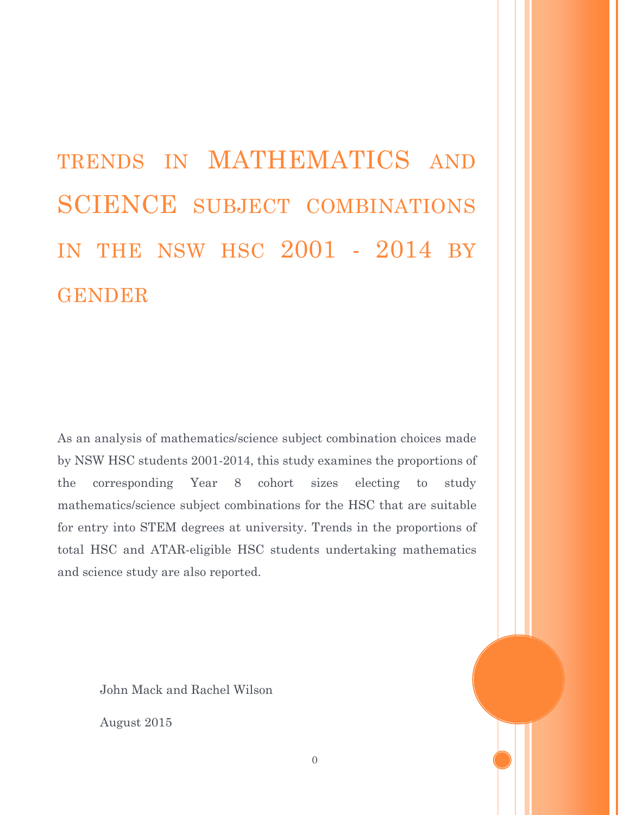TRENDS IN MATHEMATICS AND SCIENCE SUBJECT COMBINATIONS IN THE NSW HSC 2001 - 2014 BY GENDER

As an analysis of mathematics/science subject combination choices made by NSW HSC students 2001-2014, this study examines the proportions of the corresponding Year 8 cohort sizes electing to study mathematics/science subject combinations for the HSC that are suitable for entry into STEM degrees at university. Trends in the proportions of total HSC and ATAR-eligible HSC students undertaking mathematics and science study are also reported.

John Mack and Rachel Wilson

August 2015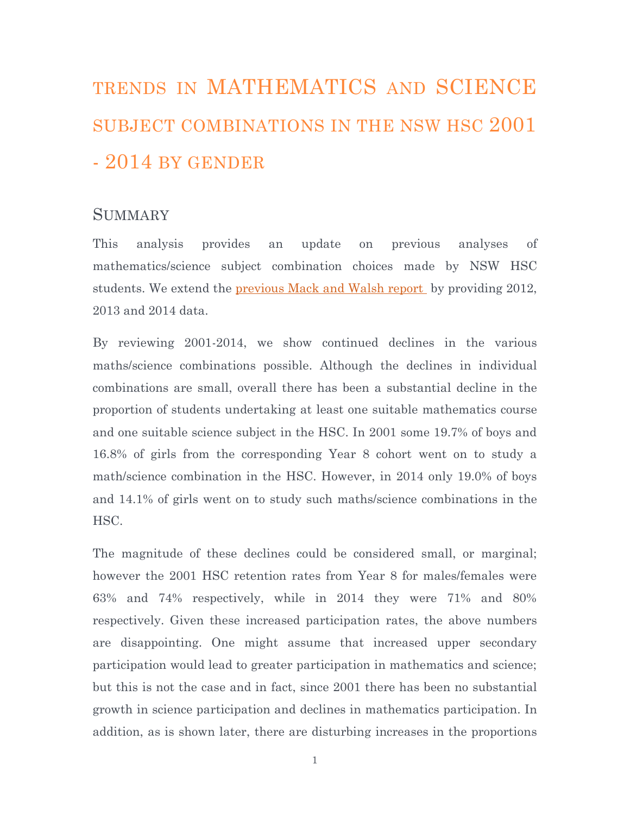# TRENDS IN MATHEMATICS AND SCIENCE SUBJECT COMBINATIONS IN THE NSW HSC 2001 - 2014 BY GENDER

# **SUMMARY**

This analysis provides an update on previous analyses of mathematics/science subject combination choices made by NSW HSC students. We extend the previous [Mack and Walsh report](http://www.maths.usyd.edu.au/u/SMS/MWW2013.pdf) by providing 2012, 2013 and 2014 data.

By reviewing 2001-2014, we show continued declines in the various maths/science combinations possible. Although the declines in individual combinations are small, overall there has been a substantial decline in the proportion of students undertaking at least one suitable mathematics course and one suitable science subject in the HSC. In 2001 some 19.7% of boys and 16.8% of girls from the corresponding Year 8 cohort went on to study a math/science combination in the HSC. However, in 2014 only 19.0% of boys and 14.1% of girls went on to study such maths/science combinations in the HSC.

The magnitude of these declines could be considered small, or marginal; however the 2001 HSC retention rates from Year 8 for males/females were 63% and 74% respectively, while in 2014 they were 71% and 80% respectively. Given these increased participation rates, the above numbers are disappointing. One might assume that increased upper secondary participation would lead to greater participation in mathematics and science; but this is not the case and in fact, since 2001 there has been no substantial growth in science participation and declines in mathematics participation. In addition, as is shown later, there are disturbing increases in the proportions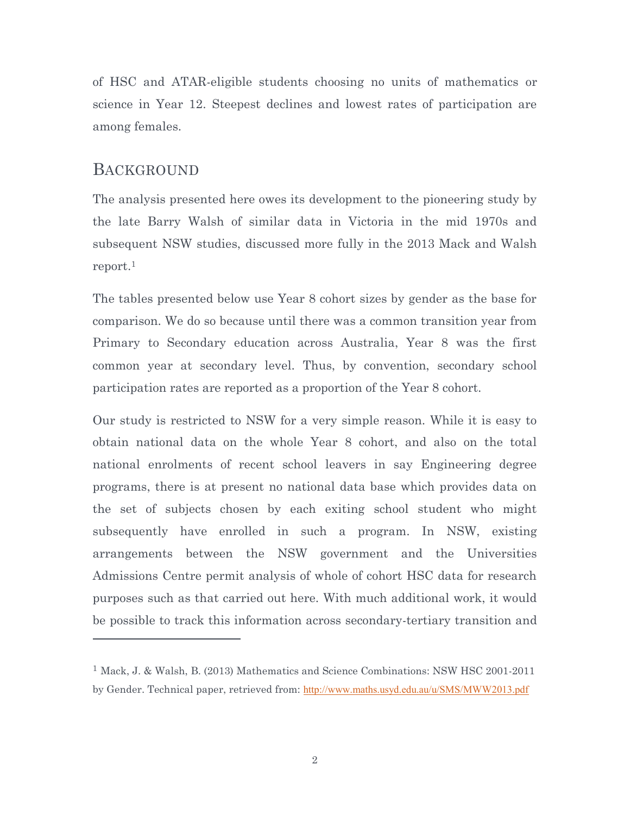of HSC and ATAR-eligible students choosing no units of mathematics or science in Year 12. Steepest declines and lowest rates of participation are among females.

# BACKGROUND

 $\overline{a}$ 

The analysis presented here owes its development to the pioneering study by the late Barry Walsh of similar data in Victoria in the mid 1970s and subsequent NSW studies, discussed more fully in the 2013 Mack and Walsh report. 1

The tables presented below use Year 8 cohort sizes by gender as the base for comparison. We do so because until there was a common transition year from Primary to Secondary education across Australia, Year 8 was the first common year at secondary level. Thus, by convention, secondary school participation rates are reported as a proportion of the Year 8 cohort.

Our study is restricted to NSW for a very simple reason. While it is easy to obtain national data on the whole Year 8 cohort, and also on the total national enrolments of recent school leavers in say Engineering degree programs, there is at present no national data base which provides data on the set of subjects chosen by each exiting school student who might subsequently have enrolled in such a program. In NSW, existing arrangements between the NSW government and the Universities Admissions Centre permit analysis of whole of cohort HSC data for research purposes such as that carried out here. With much additional work, it would be possible to track this information across secondary-tertiary transition and

<sup>1</sup> Mack, J. & Walsh, B. (2013) Mathematics and Science Combinations: NSW HSC 2001-2011 by Gender. Technical paper, retrieved from: <http://www.maths.usyd.edu.au/u/SMS/MWW2013.pdf>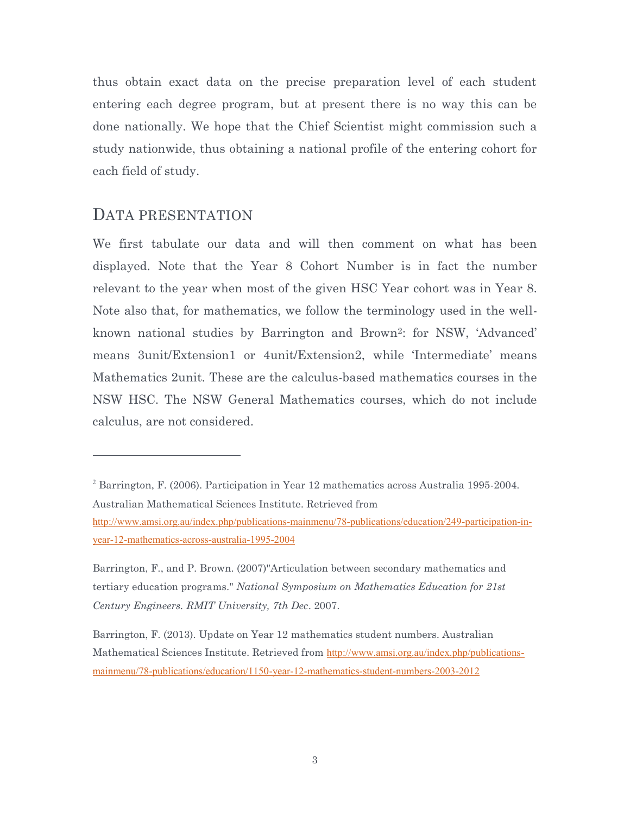thus obtain exact data on the precise preparation level of each student entering each degree program, but at present there is no way this can be done nationally. We hope that the Chief Scientist might commission such a study nationwide, thus obtaining a national profile of the entering cohort for each field of study.

#### DATA PRESENTATION

 $\overline{a}$ 

We first tabulate our data and will then comment on what has been displayed. Note that the Year 8 Cohort Number is in fact the number relevant to the year when most of the given HSC Year cohort was in Year 8. Note also that, for mathematics, we follow the terminology used in the wellknown national studies by Barrington and Brown2: for NSW, 'Advanced' means 3unit/Extension1 or 4unit/Extension2, while 'Intermediate' means Mathematics 2unit. These are the calculus-based mathematics courses in the NSW HSC. The NSW General Mathematics courses, which do not include calculus, are not considered.

 $2$  Barrington, F. (2006). Participation in Year 12 mathematics across Australia 1995-2004. Australian Mathematical Sciences Institute. Retrieved from

[http://www.amsi.org.au/index.php/publications-mainmenu/78-publications/education/249-participation-in](http://www.amsi.org.au/index.php/publications-mainmenu/78-publications/education/249-participation-in-year-12-mathematics-across-australia-1995-2004)[year-12-mathematics-across-australia-1995-2004](http://www.amsi.org.au/index.php/publications-mainmenu/78-publications/education/249-participation-in-year-12-mathematics-across-australia-1995-2004)

Barrington, F., and P. Brown. (2007)"Articulation between secondary mathematics and tertiary education programs." *National Symposium on Mathematics Education for 21st Century Engineers. RMIT University, 7th Dec*. 2007.

Barrington, F. (2013). Update on Year 12 mathematics student numbers. Australian Mathematical Sciences Institute. Retrieved from [http://www.amsi.org.au/index.php/publications](http://www.amsi.org.au/index.php/publications-mainmenu/78-publications/education/1150-year-12-mathematics-student-numbers-2003-2012)[mainmenu/78-publications/education/1150-year-12-mathematics-student-numbers-2003-2012](http://www.amsi.org.au/index.php/publications-mainmenu/78-publications/education/1150-year-12-mathematics-student-numbers-2003-2012)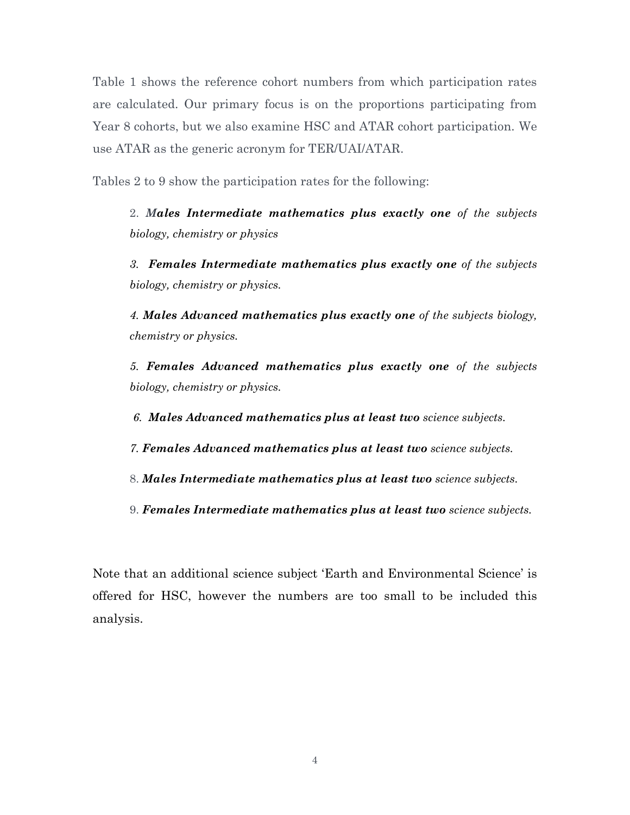Table 1 shows the reference cohort numbers from which participation rates are calculated. Our primary focus is on the proportions participating from Year 8 cohorts, but we also examine HSC and ATAR cohort participation. We use ATAR as the generic acronym for TER/UAI/ATAR.

Tables 2 to 9 show the participation rates for the following:

2. *Males Intermediate mathematics plus exactly one of the subjects biology, chemistry or physics*

*3. Females Intermediate mathematics plus exactly one of the subjects biology, chemistry or physics.* 

*4. Males Advanced mathematics plus exactly one of the subjects biology, chemistry or physics.* 

*5. Females Advanced mathematics plus exactly one of the subjects biology, chemistry or physics.*

*6. Males Advanced mathematics plus at least two science subjects.* 

- *7. Females Advanced mathematics plus at least two science subjects.*
- 8. *Males Intermediate mathematics plus at least two science subjects.*
- 9. *Females Intermediate mathematics plus at least two science subjects.*

Note that an additional science subject 'Earth and Environmental Science' is offered for HSC, however the numbers are too small to be included this analysis.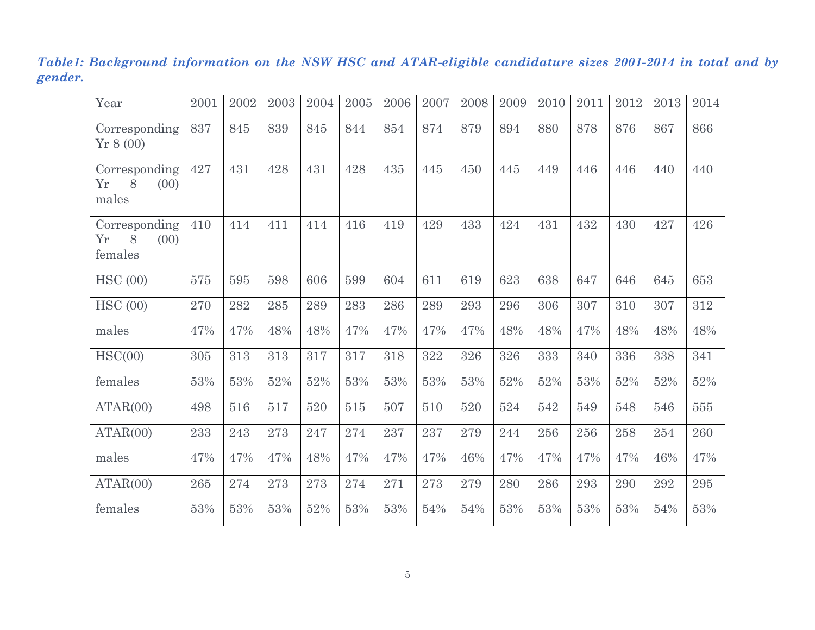# *Table1: Background information on the NSW HSC and ATAR-eligible candidature sizes 2001-2014 in total and by gender.*

| Year                                                | 2001    | 2002 | 2003 | 2004 | 2005 | 2006 | 2007 | 2008 | 2009   | 2010 | 2011 | 2012 | 2013   | 2014 |
|-----------------------------------------------------|---------|------|------|------|------|------|------|------|--------|------|------|------|--------|------|
| Corresponding<br>Yr 8(00)                           | 837     | 845  | 839  | 845  | 844  | 854  | 874  | 879  | 894    | 880  | 878  | 876  | 867    | 866  |
| Corresponding<br>8<br>${\rm Yr}$<br>(00)<br>males   | 427     | 431  | 428  | 431  | 428  | 435  | 445  | 450  | 445    | 449  | 446  | 446  | 440    | 440  |
| Corresponding<br>${\rm Yr}$<br>8<br>(00)<br>females | 410     | 414  | 411  | 414  | 416  | 419  | 429  | 433  | 424    | 431  | 432  | 430  | 427    | 426  |
| HSC(00)                                             | 575     | 595  | 598  | 606  | 599  | 604  | 611  | 619  | 623    | 638  | 647  | 646  | 645    | 653  |
| HSC(00)                                             | 270     | 282  | 285  | 289  | 283  | 286  | 289  | 293  | 296    | 306  | 307  | 310  | 307    | 312  |
| males                                               | 47%     | 47%  | 48%  | 48%  | 47%  | 47%  | 47%  | 47%  | 48%    | 48%  | 47%  | 48%  | 48%    | 48%  |
| HSC(00)                                             | 305     | 313  | 313  | 317  | 317  | 318  | 322  | 326  | 326    | 333  | 340  | 336  | 338    | 341  |
| females                                             | 53%     | 53%  | 52%  | 52%  | 53%  | 53%  | 53%  | 53%  | $52\%$ | 52%  | 53%  | 52%  | $52\%$ | 52%  |
| ATAR(00)                                            | 498     | 516  | 517  | 520  | 515  | 507  | 510  | 520  | 524    | 542  | 549  | 548  | 546    | 555  |
| ATAR(00)                                            | 233     | 243  | 273  | 247  | 274  | 237  | 237  | 279  | 244    | 256  | 256  | 258  | 254    | 260  |
| males                                               | 47%     | 47%  | 47%  | 48%  | 47%  | 47%  | 47%  | 46%  | 47%    | 47%  | 47%  | 47%  | 46%    | 47%  |
| ATAR(00)                                            | $265\,$ | 274  | 273  | 273  | 274  | 271  | 273  | 279  | 280    | 286  | 293  | 290  | 292    | 295  |
| females                                             | 53%     | 53%  | 53%  | 52%  | 53%  | 53%  | 54%  | 54%  | 53%    | 53%  | 53%  | 53%  | 54%    | 53%  |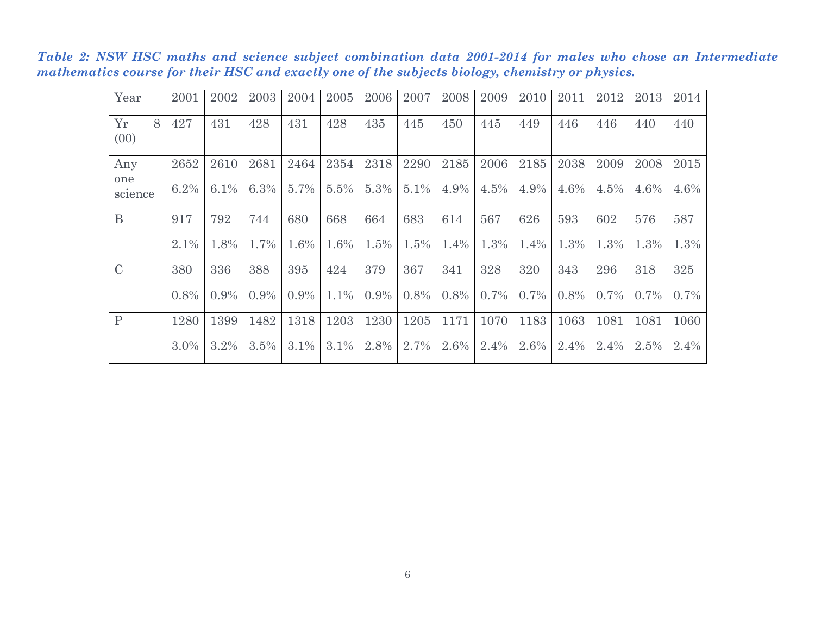| Year            | 2001    | 2002    | 2003 | 2004 | 2005 | 2006 | 2007    | 2008    | 2009 | 2010    | 2011 | 2012 | 2013 | 2014    |
|-----------------|---------|---------|------|------|------|------|---------|---------|------|---------|------|------|------|---------|
| Yr<br>8<br>(00) | 427     | 431     | 428  | 431  | 428  | 435  | 445     | 450     | 445  | 449     | 446  | 446  | 440  | 440     |
| Any             | 2652    | 2610    | 2681 | 2464 | 2354 | 2318 | 2290    | 2185    | 2006 | 2185    | 2038 | 2009 | 2008 | 2015    |
| one<br>science  | 6.2%    | $6.1\%$ | 6.3% | 5.7% | 5.5% | 5.3% | 5.1%    | 4.9%    | 4.5% | 4.9%    | 4.6% | 4.5% | 4.6% | 4.6%    |
| $\mathbf{B}$    | 917     | 792     | 744  | 680  | 668  | 664  | 683     | 614     | 567  | 626     | 593  | 602  | 576  | 587     |
|                 | 2.1%    | 1.8%    | 1.7% | 1.6% | 1.6% | 1.5% | 1.5%    | 1.4%    | 1.3% | 1.4%    | 1.3% | 1.3% | 1.3% | 1.3%    |
| $\mathcal{C}$   | 380     | 336     | 388  | 395  | 424  | 379  | 367     | 341     | 328  | 320     | 343  | 296  | 318  | 325     |
|                 | 0.8%    | $0.9\%$ | 0.9% | 0.9% | 1.1% | 0.9% | $0.8\%$ | $0.8\%$ | 0.7% | $0.7\%$ | 0.8% | 0.7% | 0.7% | $0.7\%$ |
| $\mathbf{P}$    | 1280    | 1399    | 1482 | 1318 | 1203 | 1230 | 1205    | 1171    | 1070 | 1183    | 1063 | 1081 | 1081 | 1060    |
|                 | $3.0\%$ | $3.2\%$ | 3.5% | 3.1% | 3.1% | 2.8% | 2.7%    | 2.6%    | 2.4% | 2.6%    | 2.4% | 2.4% | 2.5% | 2.4%    |

*Table 2: NSW HSC maths and science subject combination data 2001-2014 for males who chose an Intermediate mathematics course for their HSC and exactly one of the subjects biology, chemistry or physics.*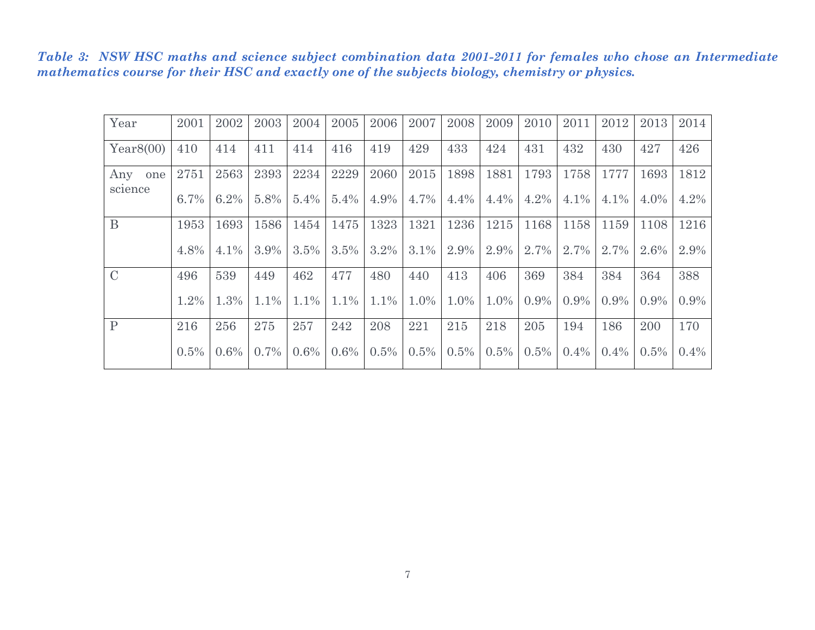#### *Table 3: NSW HSC maths and science subject combination data 2001-2011 for females who chose an Intermediate mathematics course for their HSC and exactly one of the subjects biology, chemistry or physics.*

| Year                  | 2001    | 2002 | 2003 | 2004    | 2005    | 2006 | 2007    | 2008 | 2009    | 2010 | 2011 | 2012    | 2013    | 2014    |
|-----------------------|---------|------|------|---------|---------|------|---------|------|---------|------|------|---------|---------|---------|
| Year8(00)             | 410     | 414  | 411  | 414     | 416     | 419  | 429     | 433  | 424     | 431  | 432  | 430     | 427     | 426     |
| Any<br>one<br>science | 2751    | 2563 | 2393 | 2234    | 2229    | 2060 | 2015    | 1898 | 1881    | 1793 | 1758 | 1777    | 1693    | 1812    |
|                       | $6.7\%$ | 6.2% | 5.8% | 5.4%    | 5.4%    | 4.9% | 4.7%    | 4.4% | 4.4%    | 4.2% | 4.1% | 4.1%    | $4.0\%$ | 4.2%    |
| $\mathbf{B}$          | 1953    | 1693 | 1586 | 1454    | 1475    | 1323 | 1321    | 1236 | 1215    | 1168 | 1158 | 1159    | 1108    | 1216    |
|                       | 4.8%    | 4.1% | 3.9% | 3.5%    | 3.5%    | 3.2% | 3.1%    | 2.9% | 2.9%    | 2.7% | 2.7% | 2.7%    | 2.6%    | 2.9%    |
| $\mathcal{C}$         | 496     | 539  | 449  | 462     | 477     | 480  | 440     | 413  | 406     | 369  | 384  | 384     | 364     | 388     |
|                       | 1.2%    | 1.3% | 1.1% | 1.1%    | $1.1\%$ | 1.1% | $1.0\%$ | 1.0% | $1.0\%$ | 0.9% | 0.9% | $0.9\%$ | $0.9\%$ | $0.9\%$ |
| $\mathbf{P}$          | 216     | 256  | 275  | 257     | 242     | 208  | 221     | 215  | 218     | 205  | 194  | 186     | 200     | 170     |
|                       | $0.5\%$ | 0.6% | 0.7% | $0.6\%$ | $0.6\%$ | 0.5% | 0.5%    | 0.5% | $0.5\%$ | 0.5% | 0.4% | $0.4\%$ | $0.5\%$ | 0.4%    |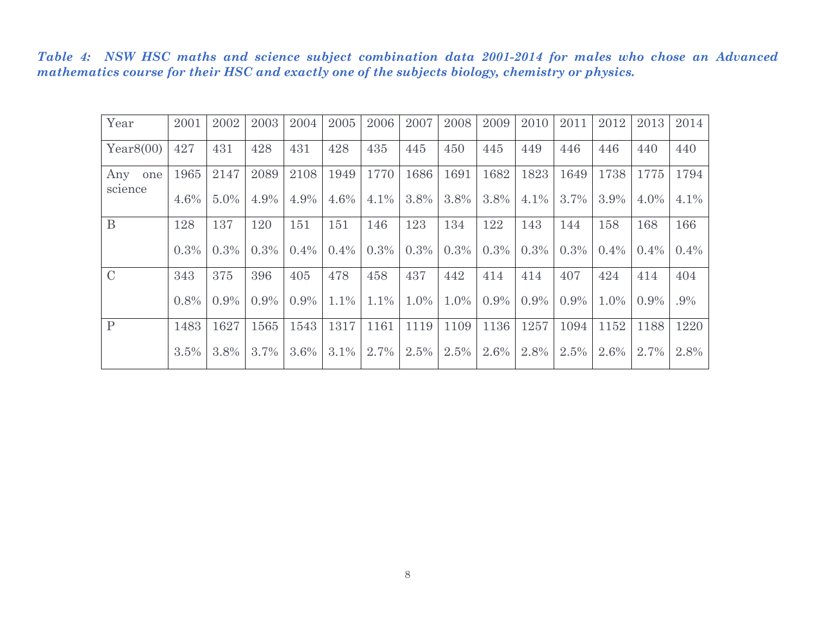#### *Table 4: NSW HSC maths and science subject combination data 2001-2014 for males who chose an Advanced mathematics course for their HSC and exactly one of the subjects biology, chemistry or physics.*

| Year                  | 2001 | 2002 | 2003 | 2004    | 2005    | 2006 | 2007 | 2008 | 2009    | 2010 | 2011 | 2012 | 2013    | 2014    |
|-----------------------|------|------|------|---------|---------|------|------|------|---------|------|------|------|---------|---------|
| Year8(00)             | 427  | 431  | 428  | 431     | 428     | 435  | 445  | 450  | 445     | 449  | 446  | 446  | 440     | 440     |
| Any<br>one<br>science | 1965 | 2147 | 2089 | 2108    | 1949    | 1770 | 1686 | 1691 | 1682    | 1823 | 1649 | 1738 | 1775    | 1794    |
|                       | 4.6% | 5.0% | 4.9% | 4.9%    | 4.6%    | 4.1% | 3.8% | 3.8% | 3.8%    | 4.1% | 3.7% | 3.9% | 4.0%    | 4.1%    |
| B                     | 128  | 137  | 120  | 151     | 151     | 146  | 123  | 134  | 122     | 143  | 144  | 158  | 168     | 166     |
|                       | 0.3% | 0.3% | 0.3% | 0.4%    | $0.4\%$ | 0.3% | 0.3% | 0.3% | $0.3\%$ | 0.3% | 0.3% | 0.4% | $0.4\%$ | $0.4\%$ |
| $\mathcal{C}$         | 343  | 375  | 396  | 405     | 478     | 458  | 437  | 442  | 414     | 414  | 407  | 424  | 414     | 404     |
|                       | 0.8% | 0.9% | 0.9% | $0.9\%$ | $1.1\%$ | 1.1% | 1.0% | 1.0% | $0.9\%$ | 0.9% | 0.9% | 1.0% | $0.9\%$ | .9%     |
| $\mathbf{P}$          | 1483 | 1627 | 1565 | 1543    | 1317    | 1161 | 1119 | 1109 | 1136    | 1257 | 1094 | 1152 | 1188    | 1220    |
|                       | 3.5% | 3.8% | 3.7% | 3.6%    | 3.1%    | 2.7% | 2.5% | 2.5% | 2.6%    | 2.8% | 2.5% | 2.6% | 2.7%    | 2.8%    |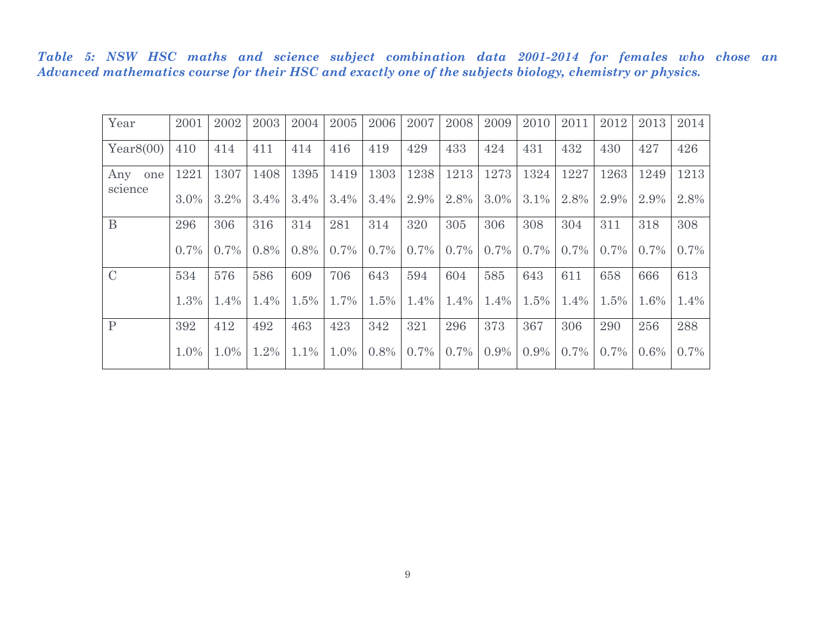*Table 5: NSW HSC maths and science subject combination data 2001-2014 for females who chose an Advanced mathematics course for their HSC and exactly one of the subjects biology, chemistry or physics.*

| Year                  | 2001    | 2002 | 2003 | 2004    | 2005    | 2006 | 2007 | 2008    | 2009    | 2010 | 2011 | 2012 | 2013    | 2014 |
|-----------------------|---------|------|------|---------|---------|------|------|---------|---------|------|------|------|---------|------|
| Year8(00)             | 410     | 414  | 411  | 414     | 416     | 419  | 429  | 433     | 424     | 431  | 432  | 430  | 427     | 426  |
| Any<br>one<br>science | 1221    | 1307 | 1408 | 1395    | 1419    | 1303 | 1238 | 1213    | 1273    | 1324 | 1227 | 1263 | 1249    | 1213 |
|                       | 3.0%    | 3.2% | 3.4% | 3.4%    | 3.4%    | 3.4% | 2.9% | 2.8%    | 3.0%    | 3.1% | 2.8% | 2.9% | 2.9%    | 2.8% |
| B                     | 296     | 306  | 316  | 314     | 281     | 314  | 320  | 305     | 306     | 308  | 304  | 311  | 318     | 308  |
|                       | $0.7\%$ | 0.7% | 0.8% | 0.8%    | 0.7%    | 0.7% | 0.7% | 0.7%    | $0.7\%$ | 0.7% | 0.7% | 0.7% | $0.7\%$ | 0.7% |
| $\mathcal{C}$         | 534     | 576  | 586  | 609     | 706     | 643  | 594  | 604     | 585     | 643  | 611  | 658  | 666     | 613  |
|                       | 1.3%    | 1.4% | 1.4% | 1.5%    | 1.7%    | 1.5% | 1.4% | 1.4%    | 1.4%    | 1.5% | 1.4% | 1.5% | 1.6%    | 1.4% |
| $\mathbf{P}$          | 392     | 412  | 492  | 463     | 423     | 342  | 321  | 296     | 373     | 367  | 306  | 290  | 256     | 288  |
|                       | 1.0%    | 1.0% | 1.2% | $1.1\%$ | $1.0\%$ | 0.8% | 0.7% | $0.7\%$ | $0.9\%$ | 0.9% | 0.7% | 0.7% | $0.6\%$ | 0.7% |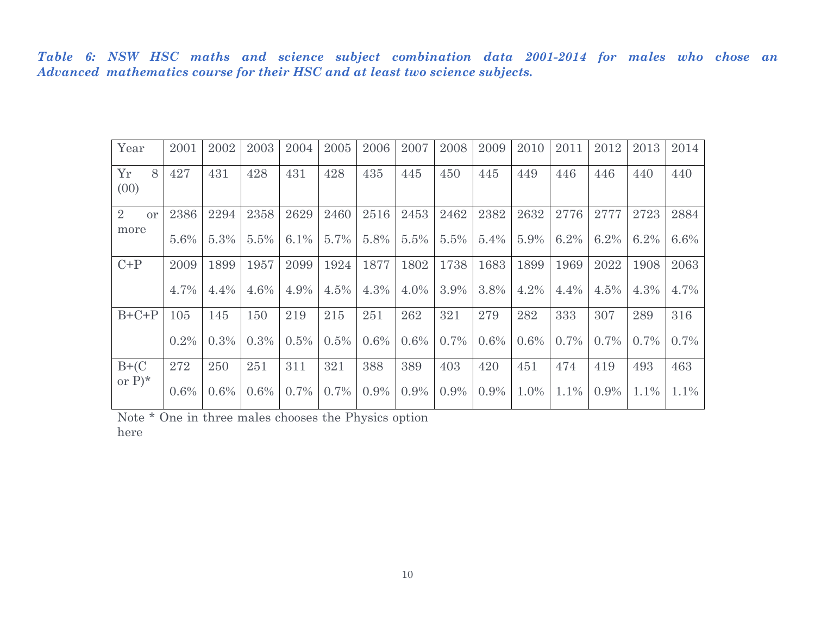*Table 6: NSW HSC maths and science subject combination data 2001-2014 for males who chose an Advanced mathematics course for their HSC and at least two science subjects.* 

| Year                                | 2001         | 2002         | 2003         | 2004            | 2005            | 2006         | 2007         | 2008         | 2009         | 2010         | 2011         | 2012            | 2013         | 2014         |
|-------------------------------------|--------------|--------------|--------------|-----------------|-----------------|--------------|--------------|--------------|--------------|--------------|--------------|-----------------|--------------|--------------|
| Yr<br>8<br>(00)                     | 427          | 431          | 428          | 431             | 428             | 435          | 445          | 450          | 445          | 449          | 446          | 446             | 440          | 440          |
| $\overline{2}$<br><b>or</b><br>more | 2386<br>5.6% | 2294<br>5.3% | 2358<br>5.5% | 2629<br>$6.1\%$ | 2460<br>$5.7\%$ | 2516<br>5.8% | 2453<br>5.5% | 2462<br>5.5% | 2382<br>5.4% | 2632<br>5.9% | 2776<br>6.2% | 2777<br>$6.2\%$ | 2723<br>6.2% | 2884<br>6.6% |
| $C+P$                               | 2009         | 1899         | 1957         | 2099            | 1924            | 1877         | 1802         | 1738         | 1683         | 1899         | 1969         | 2022            | 1908         | 2063         |
|                                     | 4.7%         | 4.4%         | 4.6%         | 4.9%            | 4.5%            | 4.3%         | 4.0%         | 3.9%         | 3.8%         | 4.2%         | 4.4%         | 4.5%            | 4.3%         | 4.7%         |
| $B+C+P$                             | 105          | 145          | 150          | 219             | 215             | 251          | 262          | 321          | 279          | 282          | 333          | 307             | 289          | 316          |
|                                     | 0.2%         | 0.3%         | 0.3%         | 0.5%            | 0.5%            | 0.6%         | 0.6%         | 0.7%         | 0.6%         | 0.6%         | 0.7%         | $0.7\%$         | 0.7%         | 0.7%         |
| $B+C$                               | 272          | 250          | 251          | 311             | 321             | 388          | 389          | 403          | 420          | 451          | 474          | 419             | 493          | 463          |
| or $P^*$                            | 0.6%         | 0.6%         | $0.6\%$      | $0.7\%$         | 0.7%            | 0.9%         | 0.9%         | 0.9%         | 0.9%         | 1.0%         | 1.1%         | $0.9\%$         | 1.1%         | $1.1\%$      |

Note \* One in three males chooses the Physics option here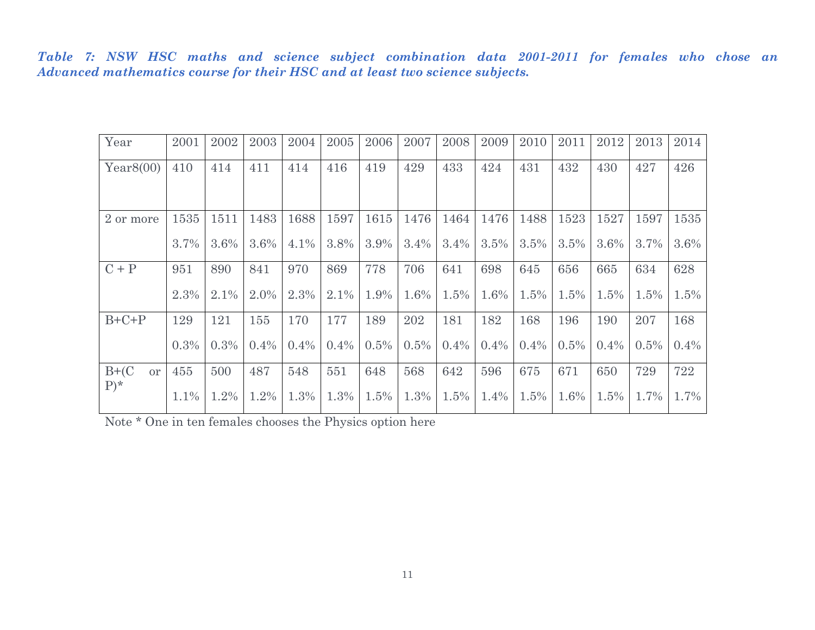*Table 7: NSW HSC maths and science subject combination data 2001-2011 for females who chose an Advanced mathematics course for their HSC and at least two science subjects.*

| Year                 | 2001 | 2002 | 2003 | 2004 | 2005 | 2006 | 2007 | 2008 | 2009    | 2010 | 2011 | 2012 | 2013    | 2014 |
|----------------------|------|------|------|------|------|------|------|------|---------|------|------|------|---------|------|
| Year8(00)            | 410  | 414  | 411  | 414  | 416  | 419  | 429  | 433  | 424     | 431  | 432  | 430  | 427     | 426  |
| 2 or more            | 1535 | 1511 | 1483 | 1688 | 1597 | 1615 | 1476 | 1464 | 1476    | 1488 | 1523 | 1527 | 1597    | 1535 |
|                      | 3.7% | 3.6% | 3.6% | 4.1% | 3.8% | 3.9% | 3.4% | 3.4% | 3.5%    | 3.5% | 3.5% | 3.6% | 3.7%    | 3.6% |
| $C + P$              | 951  | 890  | 841  | 970  | 869  | 778  | 706  | 641  | 698     | 645  | 656  | 665  | 634     | 628  |
|                      | 2.3% | 2.1% | 2.0% | 2.3% | 2.1% | 1.9% | 1.6% | 1.5% | 1.6%    | 1.5% | 1.5% | 1.5% | 1.5%    | 1.5% |
| $B+C+P$              | 129  | 121  | 155  | 170  | 177  | 189  | 202  | 181  | 182     | 168  | 196  | 190  | 207     | 168  |
|                      | 0.3% | 0.3% | 0.4% | 0.4% | 0.4% | 0.5% | 0.5% | 0.4% | 0.4%    | 0.4% | 0.5% | 0.4% | 0.5%    | 0.4% |
| $B+C$<br>or<br>$P^*$ | 455  | 500  | 487  | 548  | 551  | 648  | 568  | 642  | 596     | 675  | 671  | 650  | 729     | 722  |
|                      | 1.1% | 1.2% | 1.2% | 1.3% | 1.3% | 1.5% | 1.3% | 1.5% | $1.4\%$ | 1.5% | 1.6% | 1.5% | $1.7\%$ | 1.7% |

Note \* One in ten females chooses the Physics option here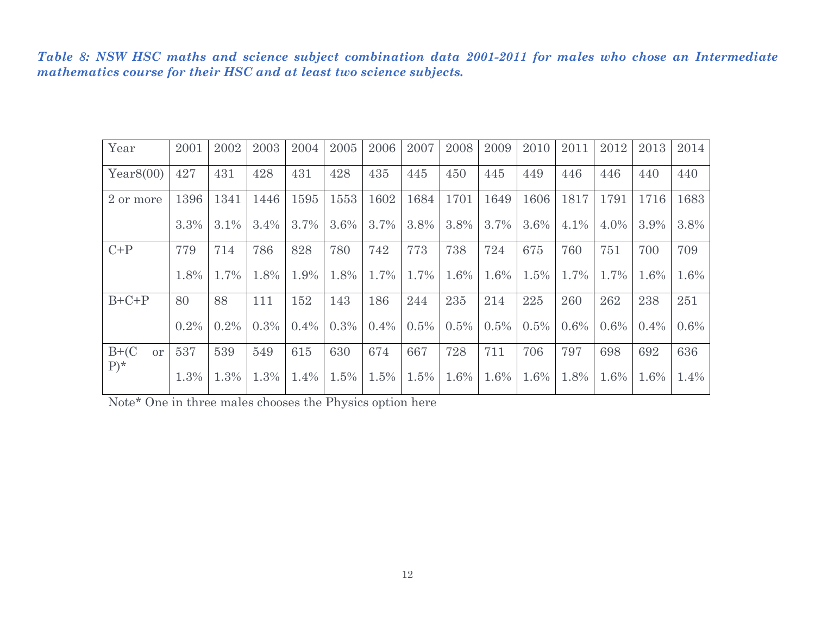*Table 8: NSW HSC maths and science subject combination data 2001-2011 for males who chose an Intermediate mathematics course for their HSC and at least two science subjects.*

| Year                 | 2001 | 2002 | 2003 | 2004 | 2005 | 2006 | 2007 | 2008 | 2009 | 2010 | 2011 | 2012 | 2013    | 2014    |
|----------------------|------|------|------|------|------|------|------|------|------|------|------|------|---------|---------|
| Year8(00)            | 427  | 431  | 428  | 431  | 428  | 435  | 445  | 450  | 445  | 449  | 446  | 446  | 440     | 440     |
| 2 or more            | 1396 | 1341 | 1446 | 1595 | 1553 | 1602 | 1684 | 1701 | 1649 | 1606 | 1817 | 1791 | 1716    | 1683    |
|                      | 3.3% | 3.1% | 3.4% | 3.7% | 3.6% | 3.7% | 3.8% | 3.8% | 3.7% | 3.6% | 4.1% | 4.0% | 3.9%    | 3.8%    |
| $C+P$                | 779  | 714  | 786  | 828  | 780  | 742  | 773  | 738  | 724  | 675  | 760  | 751  | 700     | 709     |
|                      | 1.8% | 1.7% | 1.8% | 1.9% | 1.8% | 1.7% | 1.7% | 1.6% | 1.6% | 1.5% | 1.7% | 1.7% | 1.6%    | 1.6%    |
| $B+C+P$              | 80   | 88   | 111  | 152  | 143  | 186  | 244  | 235  | 214  | 225  | 260  | 262  | 238     | 251     |
|                      | 0.2% | 0.2% | 0.3% | 0.4% | 0.3% | 0.4% | 0.5% | 0.5% | 0.5% | 0.5% | 0.6% | 0.6% | 0.4%    | $0.6\%$ |
| $B+C$<br>or<br>$P^*$ | 537  | 539  | 549  | 615  | 630  | 674  | 667  | 728  | 711  | 706  | 797  | 698  | 692     | 636     |
|                      | 1.3% | 1.3% | 1.3% | 1.4% | 1.5% | 1.5% | 1.5% | 1.6% | 1.6% | 1.6% | 1.8% | 1.6% | $1.6\%$ | 1.4%    |

Note\* One in three males chooses the Physics option here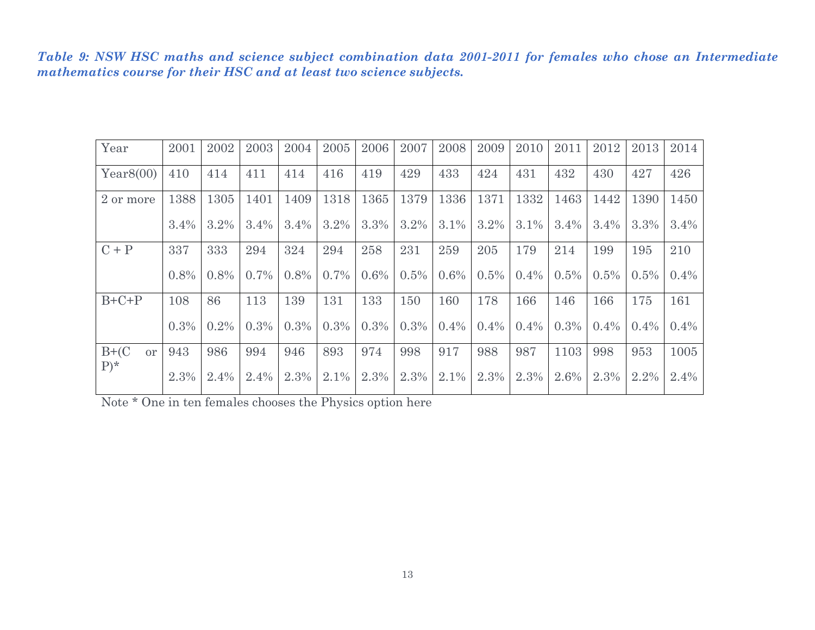*Table 9: NSW HSC maths and science subject combination data 2001-2011 for females who chose an Intermediate mathematics course for their HSC and at least two science subjects.* 

| Year                  | 2001 | 2002 | 2003 | 2004 | 2005    | 2006 | 2007 | 2008 | 2009 | 2010 | 2011 | 2012 | 2013 | 2014 |
|-----------------------|------|------|------|------|---------|------|------|------|------|------|------|------|------|------|
| Year $8(00)$          | 410  | 414  | 411  | 414  | 416     | 419  | 429  | 433  | 424  | 431  | 432  | 430  | 427  | 426  |
| 2 or more             | 1388 | 1305 | 1401 | 1409 | 1318    | 1365 | 1379 | 1336 | 1371 | 1332 | 1463 | 1442 | 1390 | 1450 |
|                       | 3.4% | 3.2% | 3.4% | 3.4% | 3.2%    | 3.3% | 3.2% | 3.1% | 3.2% | 3.1% | 3.4% | 3.4% | 3.3% | 3.4% |
| $C + P$               | 337  | 333  | 294  | 324  | 294     | 258  | 231  | 259  | 205  | 179  | 214  | 199  | 195  | 210  |
|                       | 0.8% | 0.8% | 0.7% | 0.8% | $0.7\%$ | 0.6% | 0.5% | 0.6% | 0.5% | 0.4% | 0.5% | 0.5% | 0.5% | 0.4% |
| $B+C+P$               | 108  | 86   | 113  | 139  | 131     | 133  | 150  | 160  | 178  | 166  | 146  | 166  | 175  | 161  |
|                       | 0.3% | 0.2% | 0.3% | 0.3% | 0.3%    | 0.3% | 0.3% | 0.4% | 0.4% | 0.4% | 0.3% | 0.4% | 0.4% | 0.4% |
| $B+C$<br>or<br>$P)$ * | 943  | 986  | 994  | 946  | 893     | 974  | 998  | 917  | 988  | 987  | 1103 | 998  | 953  | 1005 |
|                       | 2.3% | 2.4% | 2.4% | 2.3% | 2.1%    | 2.3% | 2.3% | 2.1% | 2.3% | 2.3% | 2.6% | 2.3% | 2.2% | 2.4% |

Note \* One in ten females chooses the Physics option here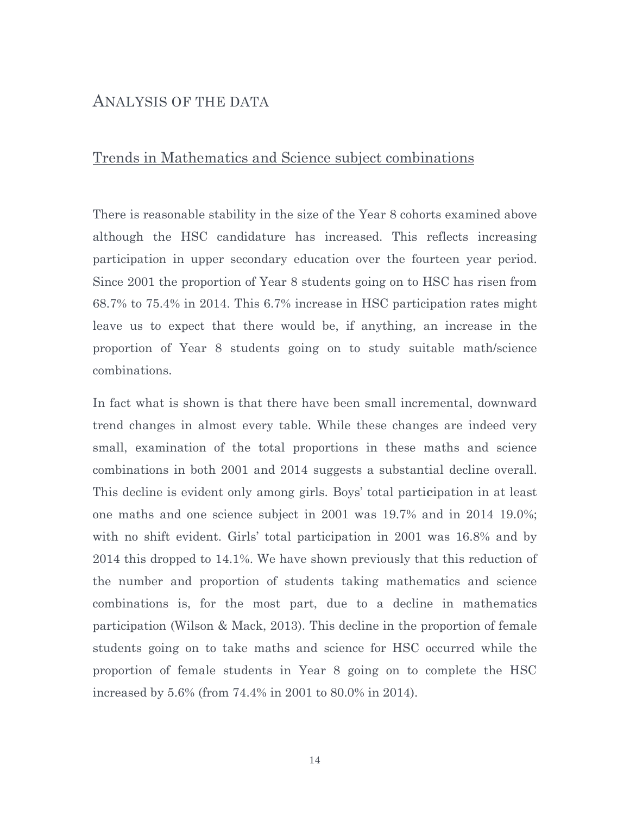# ANALYSIS OF THE DATA

# Trends in Mathematics and Science subject combinations

There is reasonable stability in the size of the Year 8 cohorts examined above although the HSC candidature has increased. This reflects increasing participation in upper secondary education over the fourteen year period. Since 2001 the proportion of Year 8 students going on to HSC has risen from 68.7% to 75.4% in 2014. This 6.7% increase in HSC participation rates might leave us to expect that there would be, if anything, an increase in the proportion of Year 8 students going on to study suitable math/science combinations.

In fact what is shown is that there have been small incremental, downward trend changes in almost every table. While these changes are indeed very small, examination of the total proportions in these maths and science combinations in both 2001 and 2014 suggests a substantial decline overall. This decline is evident only among girls. Boys' total parti**c**ipation in at least one maths and one science subject in 2001 was 19.7% and in 2014 19.0%; with no shift evident. Girls' total participation in 2001 was 16.8% and by 2014 this dropped to 14.1%. We have shown previously that this reduction of the number and proportion of students taking mathematics and science combinations is, for the most part, due to a decline in mathematics participation (Wilson & Mack, 2013). This decline in the proportion of female students going on to take maths and science for HSC occurred while the proportion of female students in Year 8 going on to complete the HSC increased by 5.6% (from 74.4% in 2001 to 80.0% in 2014).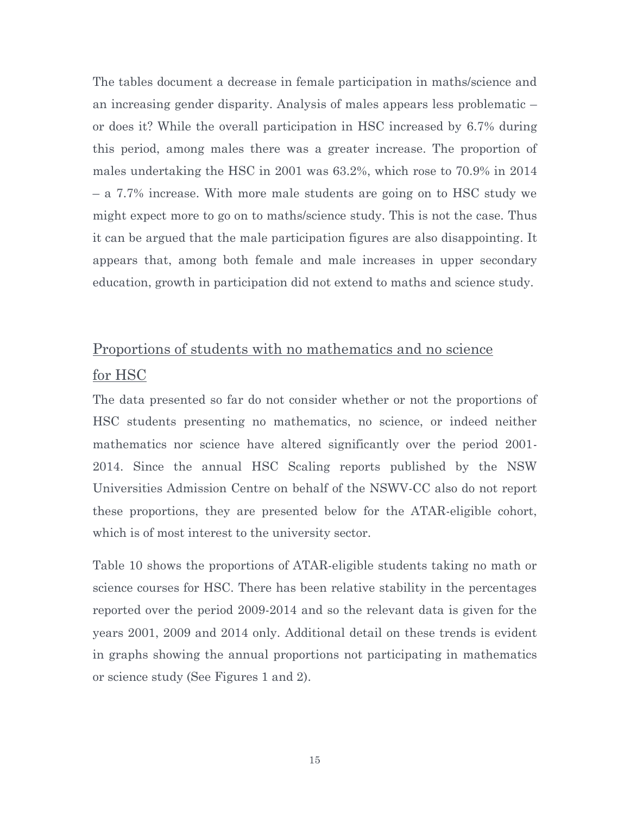The tables document a decrease in female participation in maths/science and an increasing gender disparity. Analysis of males appears less problematic – or does it? While the overall participation in HSC increased by 6.7% during this period, among males there was a greater increase. The proportion of males undertaking the HSC in 2001 was 63.2%, which rose to 70.9% in 2014 – a 7.7% increase. With more male students are going on to HSC study we might expect more to go on to maths/science study. This is not the case. Thus it can be argued that the male participation figures are also disappointing. It appears that, among both female and male increases in upper secondary education, growth in participation did not extend to maths and science study.

# Proportions of students with no mathematics and no science for HSC

The data presented so far do not consider whether or not the proportions of HSC students presenting no mathematics, no science, or indeed neither mathematics nor science have altered significantly over the period 2001- 2014. Since the annual HSC Scaling reports published by the NSW Universities Admission Centre on behalf of the NSWV-CC also do not report these proportions, they are presented below for the ATAR-eligible cohort, which is of most interest to the university sector.

Table 10 shows the proportions of ATAR-eligible students taking no math or science courses for HSC. There has been relative stability in the percentages reported over the period 2009-2014 and so the relevant data is given for the years 2001, 2009 and 2014 only. Additional detail on these trends is evident in graphs showing the annual proportions not participating in mathematics or science study (See Figures 1 and 2).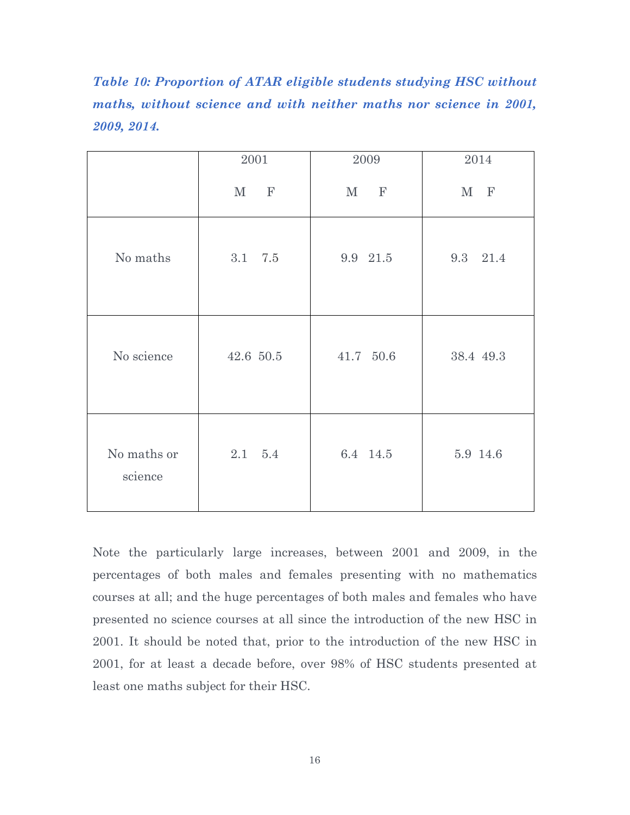*Table 10: Proportion of ATAR eligible students studying HSC without maths, without science and with neither maths nor science in 2001, 2009, 2014.*

|                        | 2001           | $\,2009\,$                  | 2014      |
|------------------------|----------------|-----------------------------|-----------|
|                        | M F            | $\mathbf{F}$<br>$\mathbf M$ | M F       |
| No maths               | 3.1 7.5        | 9.9 21.5                    | 9.3 21.4  |
| No science             | 42.6 50.5      | 41.7 50.6                   | 38.4 49.3 |
| No maths or<br>science | $2.1\quad 5.4$ | 6.4 14.5                    | 5.9 14.6  |

Note the particularly large increases, between 2001 and 2009, in the percentages of both males and females presenting with no mathematics courses at all; and the huge percentages of both males and females who have presented no science courses at all since the introduction of the new HSC in 2001. It should be noted that, prior to the introduction of the new HSC in 2001, for at least a decade before, over 98% of HSC students presented at least one maths subject for their HSC.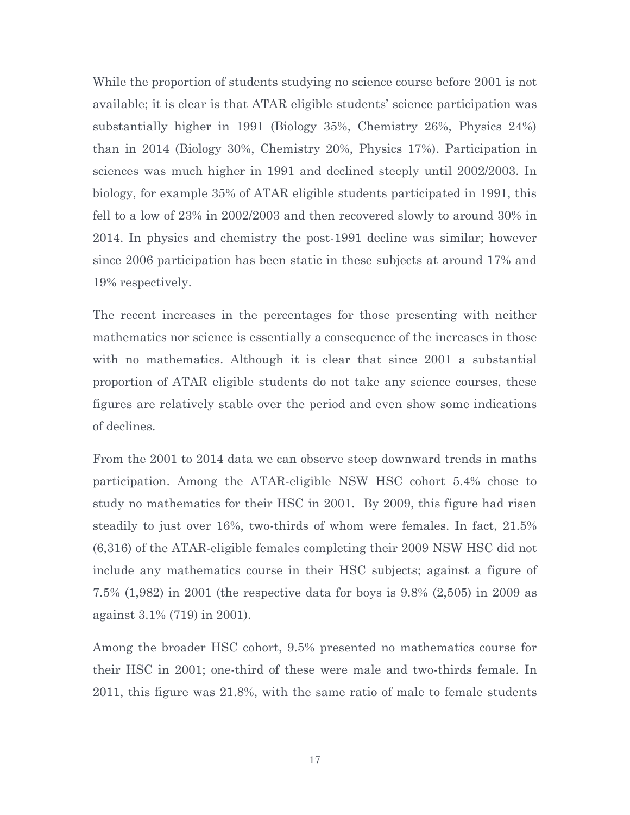While the proportion of students studying no science course before 2001 is not available; it is clear is that ATAR eligible students' science participation was substantially higher in 1991 (Biology 35%, Chemistry 26%, Physics 24%) than in 2014 (Biology 30%, Chemistry 20%, Physics 17%). Participation in sciences was much higher in 1991 and declined steeply until 2002/2003. In biology, for example 35% of ATAR eligible students participated in 1991, this fell to a low of 23% in 2002/2003 and then recovered slowly to around 30% in 2014. In physics and chemistry the post-1991 decline was similar; however since 2006 participation has been static in these subjects at around 17% and 19% respectively.

The recent increases in the percentages for those presenting with neither mathematics nor science is essentially a consequence of the increases in those with no mathematics. Although it is clear that since 2001 a substantial proportion of ATAR eligible students do not take any science courses, these figures are relatively stable over the period and even show some indications of declines.

From the 2001 to 2014 data we can observe steep downward trends in maths participation. Among the ATAR-eligible NSW HSC cohort 5.4% chose to study no mathematics for their HSC in 2001. By 2009, this figure had risen steadily to just over 16%, two-thirds of whom were females. In fact, 21.5% (6,316) of the ATAR-eligible females completing their 2009 NSW HSC did not include any mathematics course in their HSC subjects; against a figure of 7.5% (1,982) in 2001 (the respective data for boys is 9.8% (2,505) in 2009 as against 3.1% (719) in 2001).

Among the broader HSC cohort, 9.5% presented no mathematics course for their HSC in 2001; one-third of these were male and two-thirds female. In 2011, this figure was 21.8%, with the same ratio of male to female students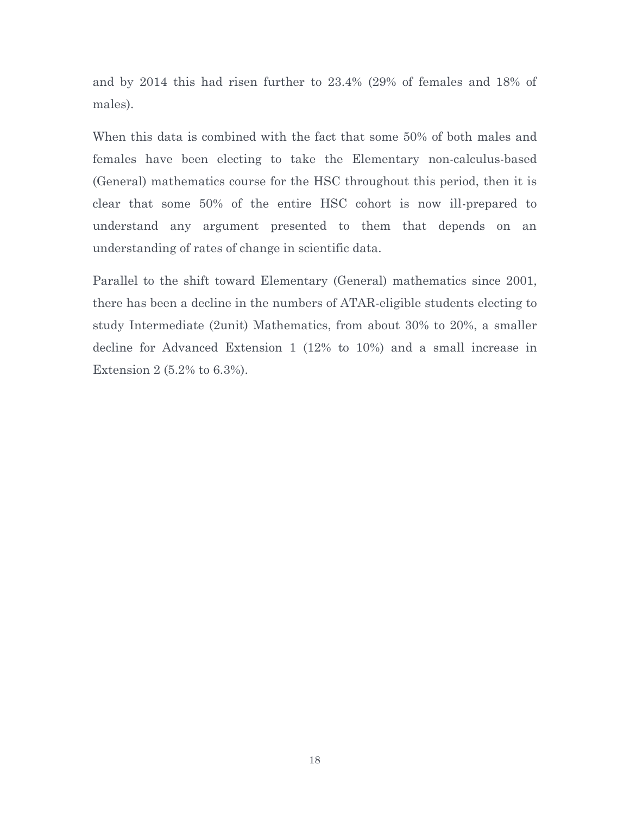and by 2014 this had risen further to 23.4% (29% of females and 18% of males).

When this data is combined with the fact that some 50% of both males and females have been electing to take the Elementary non-calculus-based (General) mathematics course for the HSC throughout this period, then it is clear that some 50% of the entire HSC cohort is now ill-prepared to understand any argument presented to them that depends on an understanding of rates of change in scientific data.

Parallel to the shift toward Elementary (General) mathematics since 2001, there has been a decline in the numbers of ATAR-eligible students electing to study Intermediate (2unit) Mathematics, from about 30% to 20%, a smaller decline for Advanced Extension 1 (12% to 10%) and a small increase in Extension 2 (5.2% to 6.3%).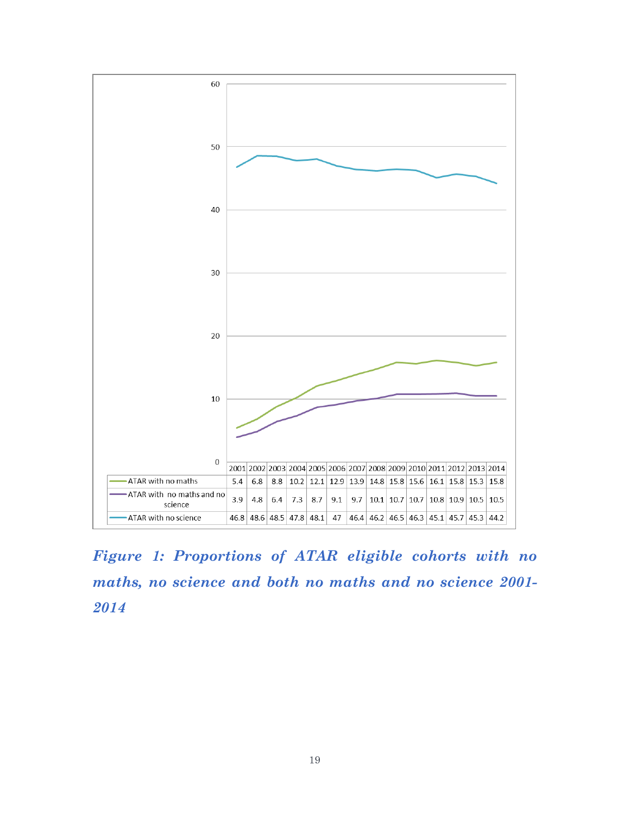

*Figure 1: Proportions of ATAR eligible cohorts with no maths, no science and both no maths and no science 2001- 2014*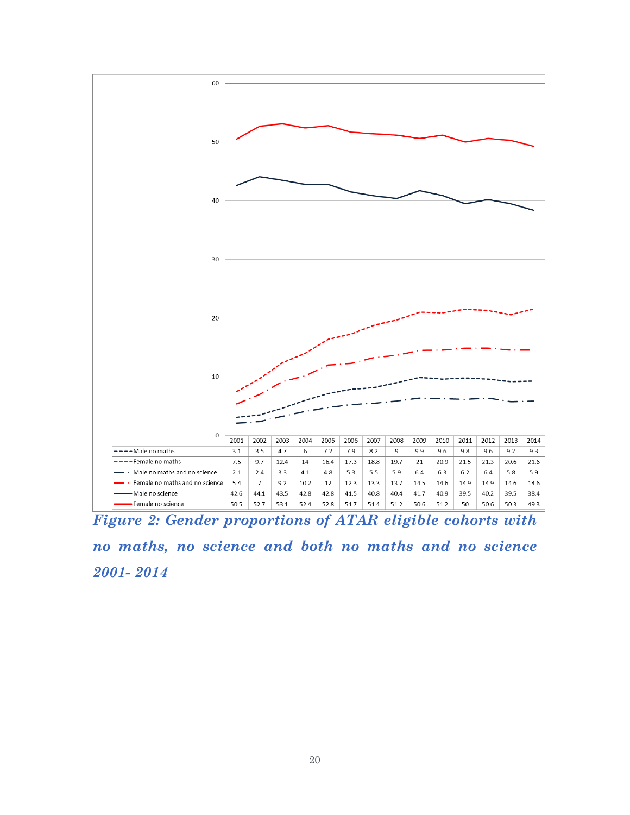

*Figure 2: Gender proportions of ATAR eligible cohorts with no maths, no science and both no maths and no science 2001- 2014*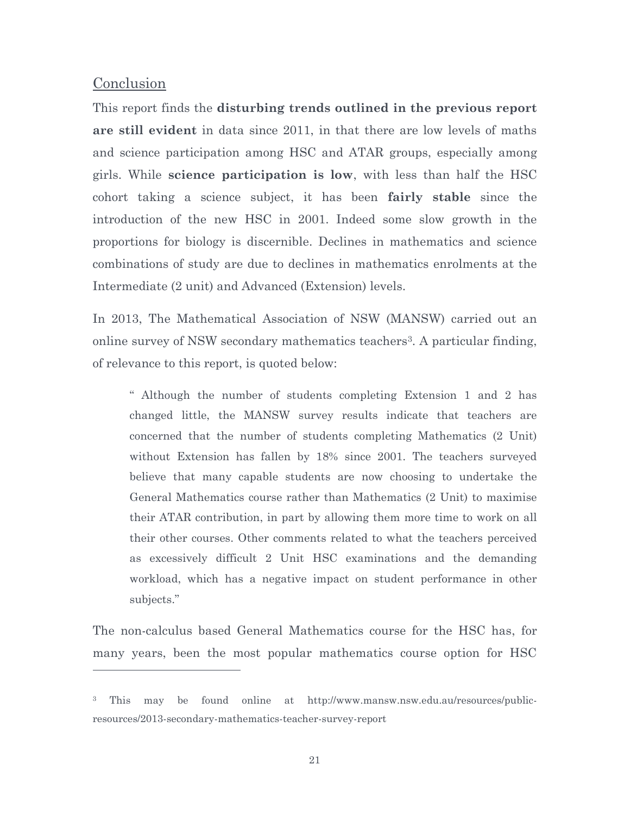#### **Conclusion**

 $\overline{a}$ 

This report finds the **disturbing trends outlined in the previous report are still evident** in data since 2011, in that there are low levels of maths and science participation among HSC and ATAR groups, especially among girls. While **science participation is low**, with less than half the HSC cohort taking a science subject, it has been **fairly stable** since the introduction of the new HSC in 2001. Indeed some slow growth in the proportions for biology is discernible. Declines in mathematics and science combinations of study are due to declines in mathematics enrolments at the Intermediate (2 unit) and Advanced (Extension) levels.

In 2013, The Mathematical Association of NSW (MANSW) carried out an online survey of NSW secondary mathematics teachers3. A particular finding, of relevance to this report, is quoted below:

" Although the number of students completing Extension 1 and 2 has changed little, the MANSW survey results indicate that teachers are concerned that the number of students completing Mathematics (2 Unit) without Extension has fallen by 18% since 2001. The teachers surveyed believe that many capable students are now choosing to undertake the General Mathematics course rather than Mathematics (2 Unit) to maximise their ATAR contribution, in part by allowing them more time to work on all their other courses. Other comments related to what the teachers perceived as excessively difficult 2 Unit HSC examinations and the demanding workload, which has a negative impact on student performance in other subjects."

The non-calculus based General Mathematics course for the HSC has, for many years, been the most popular mathematics course option for HSC

<sup>3</sup> This may be found online at http://www.mansw.nsw.edu.au/resources/publicresources/2013-secondary-mathematics-teacher-survey-report